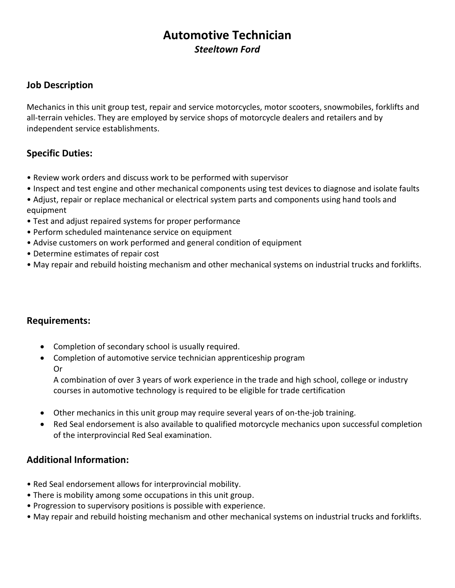# **Automotive Technician** *Steeltown Ford*

## **Job Description**

Mechanics in this unit group test, repair and service motorcycles, motor scooters, snowmobiles, forklifts and all-terrain vehicles. They are employed by service shops of motorcycle dealers and retailers and by independent service establishments.

## **Specific Duties:**

- Review work orders and discuss work to be performed with supervisor
- Inspect and test engine and other mechanical components using test devices to diagnose and isolate faults
- Adjust, repair or replace mechanical or electrical system parts and components using hand tools and equipment
- Test and adjust repaired systems for proper performance
- Perform scheduled maintenance service on equipment
- Advise customers on work performed and general condition of equipment
- Determine estimates of repair cost
- May repair and rebuild hoisting mechanism and other mechanical systems on industrial trucks and forklifts.

### **Requirements:**

- Completion of secondary school is usually required.
- Completion of automotive service technician apprenticeship program Or

A combination of over 3 years of work experience in the trade and high school, college or industry courses in automotive technology is required to be eligible for trade certification

- Other mechanics in this unit group may require several years of on-the-job training.
- Red Seal endorsement is also available to qualified motorcycle mechanics upon successful completion of the interprovincial Red Seal examination.

### **Additional Information:**

- Red Seal endorsement allows for interprovincial mobility.
- There is mobility among some occupations in this unit group.
- Progression to supervisory positions is possible with experience.
- May repair and rebuild hoisting mechanism and other mechanical systems on industrial trucks and forklifts.